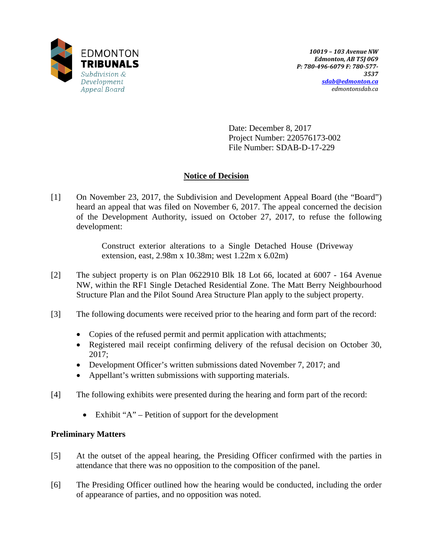

Date: December 8, 2017 Project Number: 220576173-002 File Number: SDAB-D-17-229

# **Notice of Decision**

[1] On November 23, 2017, the Subdivision and Development Appeal Board (the "Board") heard an appeal that was filed on November 6, 2017. The appeal concerned the decision of the Development Authority, issued on October 27, 2017, to refuse the following development:

> Construct exterior alterations to a Single Detached House (Driveway extension, east, 2.98m x 10.38m; west 1.22m x 6.02m)

- [2] The subject property is on Plan 0622910 Blk 18 Lot 66, located at 6007 164 Avenue NW, within the RF1 Single Detached Residential Zone. The Matt Berry Neighbourhood Structure Plan and the Pilot Sound Area Structure Plan apply to the subject property.
- [3] The following documents were received prior to the hearing and form part of the record:
	- Copies of the refused permit and permit application with attachments;
	- Registered mail receipt confirming delivery of the refusal decision on October 30, 2017;
	- Development Officer's written submissions dated November 7, 2017; and
	- Appellant's written submissions with supporting materials.
- [4] The following exhibits were presented during the hearing and form part of the record:
	- Exhibit "A" Petition of support for the development

# **Preliminary Matters**

- [5] At the outset of the appeal hearing, the Presiding Officer confirmed with the parties in attendance that there was no opposition to the composition of the panel.
- [6] The Presiding Officer outlined how the hearing would be conducted, including the order of appearance of parties, and no opposition was noted.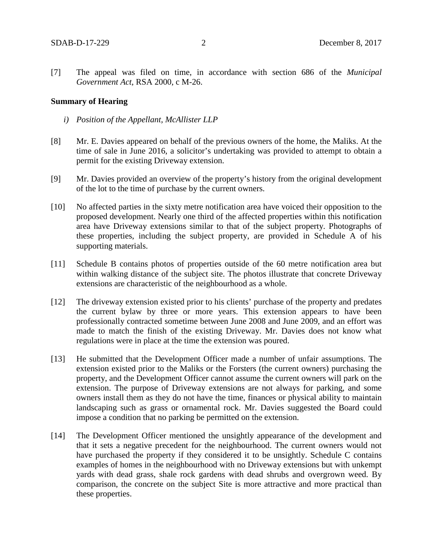[7] The appeal was filed on time, in accordance with section 686 of the *Municipal Government Act*, RSA 2000, c M-26.

#### **Summary of Hearing**

- *i) Position of the Appellant, McAllister LLP*
- [8] Mr. E. Davies appeared on behalf of the previous owners of the home, the Maliks. At the time of sale in June 2016, a solicitor's undertaking was provided to attempt to obtain a permit for the existing Driveway extension.
- [9] Mr. Davies provided an overview of the property's history from the original development of the lot to the time of purchase by the current owners.
- [10] No affected parties in the sixty metre notification area have voiced their opposition to the proposed development. Nearly one third of the affected properties within this notification area have Driveway extensions similar to that of the subject property. Photographs of these properties, including the subject property, are provided in Schedule A of his supporting materials.
- [11] Schedule B contains photos of properties outside of the 60 metre notification area but within walking distance of the subject site. The photos illustrate that concrete Driveway extensions are characteristic of the neighbourhood as a whole.
- [12] The driveway extension existed prior to his clients' purchase of the property and predates the current bylaw by three or more years. This extension appears to have been professionally contracted sometime between June 2008 and June 2009, and an effort was made to match the finish of the existing Driveway. Mr. Davies does not know what regulations were in place at the time the extension was poured.
- [13] He submitted that the Development Officer made a number of unfair assumptions. The extension existed prior to the Maliks or the Forsters (the current owners) purchasing the property, and the Development Officer cannot assume the current owners will park on the extension. The purpose of Driveway extensions are not always for parking, and some owners install them as they do not have the time, finances or physical ability to maintain landscaping such as grass or ornamental rock. Mr. Davies suggested the Board could impose a condition that no parking be permitted on the extension.
- [14] The Development Officer mentioned the unsightly appearance of the development and that it sets a negative precedent for the neighbourhood. The current owners would not have purchased the property if they considered it to be unsightly. Schedule C contains examples of homes in the neighbourhood with no Driveway extensions but with unkempt yards with dead grass, shale rock gardens with dead shrubs and overgrown weed. By comparison, the concrete on the subject Site is more attractive and more practical than these properties.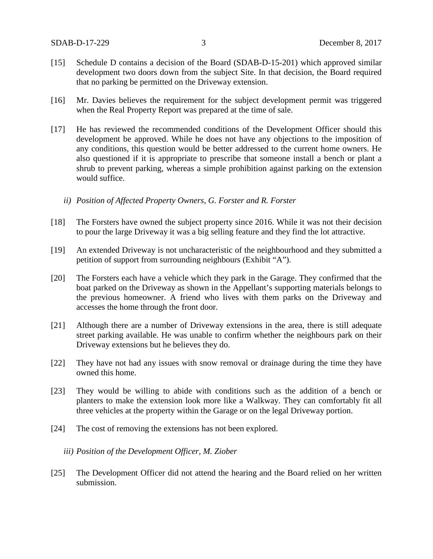- [15] Schedule D contains a decision of the Board (SDAB-D-15-201) which approved similar development two doors down from the subject Site. In that decision, the Board required that no parking be permitted on the Driveway extension.
- [16] Mr. Davies believes the requirement for the subject development permit was triggered when the Real Property Report was prepared at the time of sale.
- [17] He has reviewed the recommended conditions of the Development Officer should this development be approved. While he does not have any objections to the imposition of any conditions, this question would be better addressed to the current home owners. He also questioned if it is appropriate to prescribe that someone install a bench or plant a shrub to prevent parking, whereas a simple prohibition against parking on the extension would suffice.
	- *ii) Position of Affected Property Owners, G. Forster and R. Forster*
- [18] The Forsters have owned the subject property since 2016. While it was not their decision to pour the large Driveway it was a big selling feature and they find the lot attractive.
- [19] An extended Driveway is not uncharacteristic of the neighbourhood and they submitted a petition of support from surrounding neighbours (Exhibit "A").
- [20] The Forsters each have a vehicle which they park in the Garage. They confirmed that the boat parked on the Driveway as shown in the Appellant's supporting materials belongs to the previous homeowner. A friend who lives with them parks on the Driveway and accesses the home through the front door.
- [21] Although there are a number of Driveway extensions in the area, there is still adequate street parking available. He was unable to confirm whether the neighbours park on their Driveway extensions but he believes they do.
- [22] They have not had any issues with snow removal or drainage during the time they have owned this home.
- [23] They would be willing to abide with conditions such as the addition of a bench or planters to make the extension look more like a Walkway. They can comfortably fit all three vehicles at the property within the Garage or on the legal Driveway portion.
- [24] The cost of removing the extensions has not been explored.

### *iii) Position of the Development Officer, M. Ziober*

[25] The Development Officer did not attend the hearing and the Board relied on her written submission.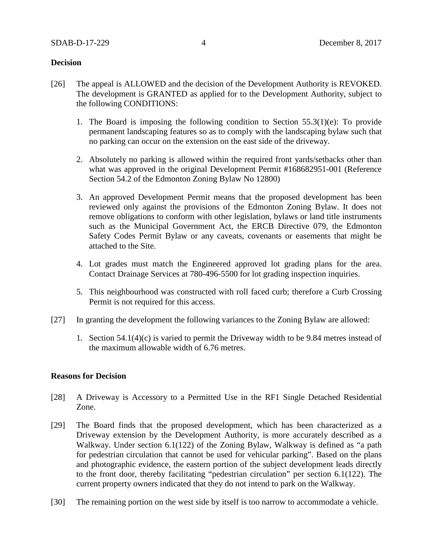### **Decision**

- [26] The appeal is ALLOWED and the decision of the Development Authority is REVOKED. The development is GRANTED as applied for to the Development Authority, subject to the following CONDITIONS:
	- 1. The Board is imposing the following condition to Section 55.3(1)(e): To provide permanent landscaping features so as to comply with the landscaping bylaw such that no parking can occur on the extension on the east side of the driveway.
	- 2. Absolutely no parking is allowed within the required front yards/setbacks other than what was approved in the original Development Permit #168682951-001 (Reference Section 54.2 of the Edmonton Zoning Bylaw No 12800)
	- 3. An approved Development Permit means that the proposed development has been reviewed only against the provisions of the Edmonton Zoning Bylaw. It does not remove obligations to conform with other legislation, bylaws or land title instruments such as the Municipal Government Act, the ERCB Directive 079, the Edmonton Safety Codes Permit Bylaw or any caveats, covenants or easements that might be attached to the Site.
	- 4. Lot grades must match the Engineered approved lot grading plans for the area. Contact Drainage Services at 780-496-5500 for lot grading inspection inquiries.
	- 5. This neighbourhood was constructed with roll faced curb; therefore a Curb Crossing Permit is not required for this access.
- [27] In granting the development the following variances to the Zoning Bylaw are allowed:
	- 1. Section 54.1(4)(c) is varied to permit the Driveway width to be 9.84 metres instead of the maximum allowable width of 6.76 metres.

## **Reasons for Decision**

- [28] A Driveway is Accessory to a Permitted Use in the RF1 Single Detached Residential Zone.
- [29] The Board finds that the proposed development, which has been characterized as a Driveway extension by the Development Authority, is more accurately described as a Walkway. Under section 6.1(122) of the Zoning Bylaw, Walkway is defined as "a path for pedestrian circulation that cannot be used for vehicular parking". Based on the plans and photographic evidence, the eastern portion of the subject development leads directly to the front door, thereby facilitating "pedestrian circulation" per section 6.1(122). The current property owners indicated that they do not intend to park on the Walkway.
- [30] The remaining portion on the west side by itself is too narrow to accommodate a vehicle.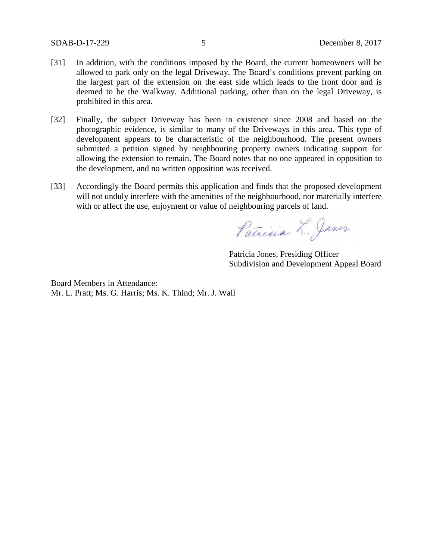- [31] In addition, with the conditions imposed by the Board, the current homeowners will be allowed to park only on the legal Driveway. The Board's conditions prevent parking on the largest part of the extension on the east side which leads to the front door and is deemed to be the Walkway. Additional parking, other than on the legal Driveway, is prohibited in this area.
- [32] Finally, the subject Driveway has been in existence since 2008 and based on the photographic evidence, is similar to many of the Driveways in this area. This type of development appears to be characteristic of the neighbourhood. The present owners submitted a petition signed by neighbouring property owners indicating support for allowing the extension to remain. The Board notes that no one appeared in opposition to the development, and no written opposition was received.
- [33] Accordingly the Board permits this application and finds that the proposed development will not unduly interfere with the amenities of the neighbourhood, nor materially interfere with or affect the use, enjoyment or value of neighbouring parcels of land.

Patricia L. James.

Patricia Jones, Presiding Officer Subdivision and Development Appeal Board

Board Members in Attendance: Mr. L. Pratt; Ms. G. Harris; Ms. K. Thind; Mr. J. Wall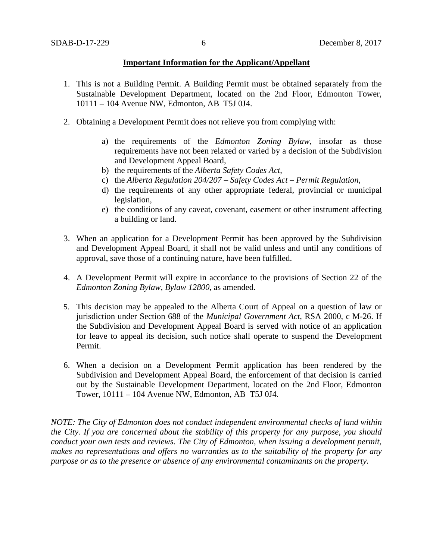## **Important Information for the Applicant/Appellant**

- 1. This is not a Building Permit. A Building Permit must be obtained separately from the Sustainable Development Department, located on the 2nd Floor, Edmonton Tower, 10111 – 104 Avenue NW, Edmonton, AB T5J 0J4.
- 2. Obtaining a Development Permit does not relieve you from complying with:
	- a) the requirements of the *Edmonton Zoning Bylaw*, insofar as those requirements have not been relaxed or varied by a decision of the Subdivision and Development Appeal Board,
	- b) the requirements of the *Alberta Safety Codes Act*,
	- c) the *Alberta Regulation 204/207 – Safety Codes Act – Permit Regulation*,
	- d) the requirements of any other appropriate federal, provincial or municipal legislation,
	- e) the conditions of any caveat, covenant, easement or other instrument affecting a building or land.
- 3. When an application for a Development Permit has been approved by the Subdivision and Development Appeal Board, it shall not be valid unless and until any conditions of approval, save those of a continuing nature, have been fulfilled.
- 4. A Development Permit will expire in accordance to the provisions of Section 22 of the *Edmonton Zoning Bylaw, Bylaw 12800*, as amended.
- 5. This decision may be appealed to the Alberta Court of Appeal on a question of law or jurisdiction under Section 688 of the *Municipal Government Act*, RSA 2000, c M-26. If the Subdivision and Development Appeal Board is served with notice of an application for leave to appeal its decision, such notice shall operate to suspend the Development Permit.
- 6. When a decision on a Development Permit application has been rendered by the Subdivision and Development Appeal Board, the enforcement of that decision is carried out by the Sustainable Development Department, located on the 2nd Floor, Edmonton Tower, 10111 – 104 Avenue NW, Edmonton, AB T5J 0J4.

*NOTE: The City of Edmonton does not conduct independent environmental checks of land within the City. If you are concerned about the stability of this property for any purpose, you should conduct your own tests and reviews. The City of Edmonton, when issuing a development permit, makes no representations and offers no warranties as to the suitability of the property for any purpose or as to the presence or absence of any environmental contaminants on the property.*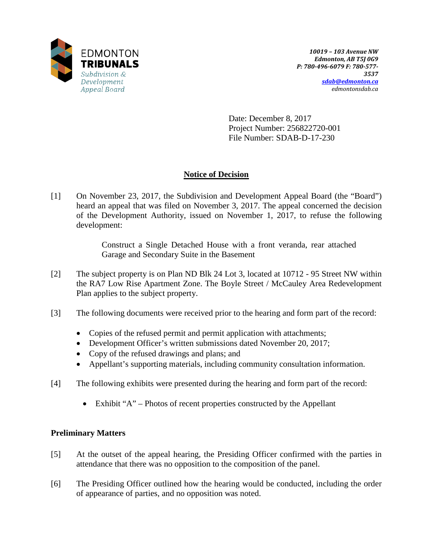

Date: December 8, 2017 Project Number: 256822720-001 File Number: SDAB-D-17-230

# **Notice of Decision**

[1] On November 23, 2017, the Subdivision and Development Appeal Board (the "Board") heard an appeal that was filed on November 3, 2017. The appeal concerned the decision of the Development Authority, issued on November 1, 2017, to refuse the following development:

> Construct a Single Detached House with a front veranda, rear attached Garage and Secondary Suite in the Basement

- [2] The subject property is on Plan ND Blk 24 Lot 3, located at 10712 95 Street NW within the RA7 Low Rise Apartment Zone. The Boyle Street / McCauley Area Redevelopment Plan applies to the subject property.
- [3] The following documents were received prior to the hearing and form part of the record:
	- Copies of the refused permit and permit application with attachments;
	- Development Officer's written submissions dated November 20, 2017;
	- Copy of the refused drawings and plans; and
	- Appellant's supporting materials, including community consultation information.
- [4] The following exhibits were presented during the hearing and form part of the record:
	- Exhibit "A" Photos of recent properties constructed by the Appellant

# **Preliminary Matters**

- [5] At the outset of the appeal hearing, the Presiding Officer confirmed with the parties in attendance that there was no opposition to the composition of the panel.
- [6] The Presiding Officer outlined how the hearing would be conducted, including the order of appearance of parties, and no opposition was noted.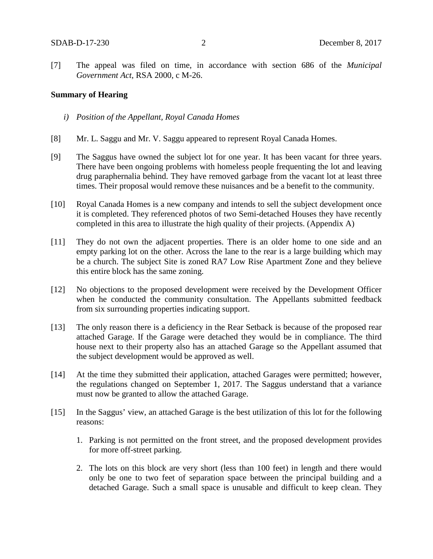[7] The appeal was filed on time, in accordance with section 686 of the *Municipal Government Act*, RSA 2000, c M-26.

### **Summary of Hearing**

- *i) Position of the Appellant, Royal Canada Homes*
- [8] Mr. L. Saggu and Mr. V. Saggu appeared to represent Royal Canada Homes.
- [9] The Saggus have owned the subject lot for one year. It has been vacant for three years. There have been ongoing problems with homeless people frequenting the lot and leaving drug paraphernalia behind. They have removed garbage from the vacant lot at least three times. Their proposal would remove these nuisances and be a benefit to the community.
- [10] Royal Canada Homes is a new company and intends to sell the subject development once it is completed. They referenced photos of two Semi-detached Houses they have recently completed in this area to illustrate the high quality of their projects. (Appendix A)
- [11] They do not own the adjacent properties. There is an older home to one side and an empty parking lot on the other. Across the lane to the rear is a large building which may be a church. The subject Site is zoned RA7 Low Rise Apartment Zone and they believe this entire block has the same zoning.
- [12] No objections to the proposed development were received by the Development Officer when he conducted the community consultation. The Appellants submitted feedback from six surrounding properties indicating support.
- [13] The only reason there is a deficiency in the Rear Setback is because of the proposed rear attached Garage. If the Garage were detached they would be in compliance. The third house next to their property also has an attached Garage so the Appellant assumed that the subject development would be approved as well.
- [14] At the time they submitted their application, attached Garages were permitted; however, the regulations changed on September 1, 2017. The Saggus understand that a variance must now be granted to allow the attached Garage.
- [15] In the Saggus' view, an attached Garage is the best utilization of this lot for the following reasons:
	- 1. Parking is not permitted on the front street, and the proposed development provides for more off-street parking.
	- 2. The lots on this block are very short (less than 100 feet) in length and there would only be one to two feet of separation space between the principal building and a detached Garage. Such a small space is unusable and difficult to keep clean. They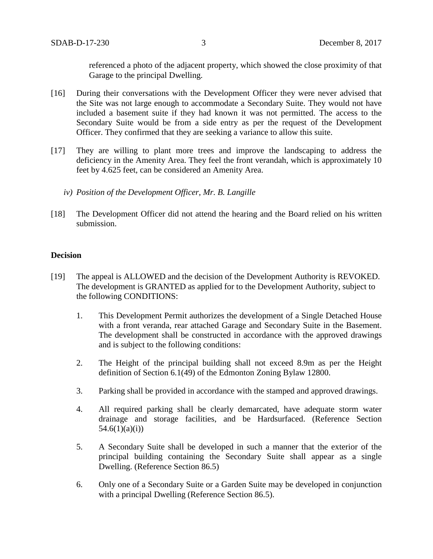referenced a photo of the adjacent property, which showed the close proximity of that Garage to the principal Dwelling.

- [16] During their conversations with the Development Officer they were never advised that the Site was not large enough to accommodate a Secondary Suite. They would not have included a basement suite if they had known it was not permitted. The access to the Secondary Suite would be from a side entry as per the request of the Development Officer. They confirmed that they are seeking a variance to allow this suite.
- [17] They are willing to plant more trees and improve the landscaping to address the deficiency in the Amenity Area. They feel the front verandah, which is approximately 10 feet by 4.625 feet, can be considered an Amenity Area.
	- *iv) Position of the Development Officer, Mr. B. Langille*
- [18] The Development Officer did not attend the hearing and the Board relied on his written submission.

### **Decision**

- [19] The appeal is ALLOWED and the decision of the Development Authority is REVOKED. The development is GRANTED as applied for to the Development Authority, subject to the following CONDITIONS:
	- 1. This Development Permit authorizes the development of a Single Detached House with a front veranda, rear attached Garage and Secondary Suite in the Basement. The development shall be constructed in accordance with the approved drawings and is subject to the following conditions:
	- 2. The Height of the principal building shall not exceed 8.9m as per the Height definition of Section 6.1(49) of the Edmonton Zoning Bylaw 12800.
	- 3. Parking shall be provided in accordance with the stamped and approved drawings.
	- 4. All required parking shall be clearly demarcated, have adequate storm water drainage and storage facilities, and be Hardsurfaced. (Reference Section  $54.6(1)(a)(i)$
	- 5. A Secondary Suite shall be developed in such a manner that the exterior of the principal building containing the Secondary Suite shall appear as a single Dwelling. (Reference Section 86.5)
	- 6. Only one of a Secondary Suite or a Garden Suite may be developed in conjunction with a principal Dwelling (Reference Section 86.5).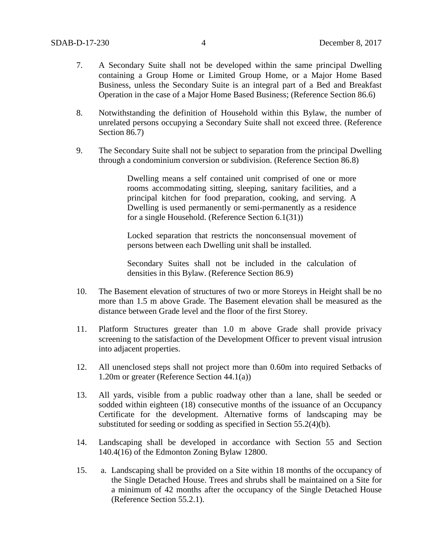- 7. A Secondary Suite shall not be developed within the same principal Dwelling containing a Group Home or Limited Group Home, or a Major Home Based Business, unless the Secondary Suite is an integral part of a Bed and Breakfast Operation in the case of a Major Home Based Business; (Reference Section 86.6)
- 8. Notwithstanding the definition of Household within this Bylaw, the number of unrelated persons occupying a Secondary Suite shall not exceed three. (Reference Section 86.7)
- 9. The Secondary Suite shall not be subject to separation from the principal Dwelling through a condominium conversion or subdivision. (Reference Section 86.8)

Dwelling means a self contained unit comprised of one or more rooms accommodating sitting, sleeping, sanitary facilities, and a principal kitchen for food preparation, cooking, and serving. A Dwelling is used permanently or semi-permanently as a residence for a single Household. (Reference Section 6.1(31))

Locked separation that restricts the nonconsensual movement of persons between each Dwelling unit shall be installed.

Secondary Suites shall not be included in the calculation of densities in this Bylaw. (Reference Section 86.9)

- 10. The Basement elevation of structures of two or more Storeys in Height shall be no more than 1.5 m above Grade. The Basement elevation shall be measured as the distance between Grade level and the floor of the first Storey.
- 11. Platform Structures greater than 1.0 m above Grade shall provide privacy screening to the satisfaction of the Development Officer to prevent visual intrusion into adjacent properties.
- 12. All unenclosed steps shall not project more than 0.60m into required Setbacks of 1.20m or greater (Reference Section 44.1(a))
- 13. All yards, visible from a public roadway other than a lane, shall be seeded or sodded within eighteen (18) consecutive months of the issuance of an Occupancy Certificate for the development. Alternative forms of landscaping may be substituted for seeding or sodding as specified in Section 55.2(4)(b).
- 14. Landscaping shall be developed in accordance with Section 55 and Section 140.4(16) of the Edmonton Zoning Bylaw 12800.
- 15. a. Landscaping shall be provided on a Site within 18 months of the occupancy of the Single Detached House. Trees and shrubs shall be maintained on a Site for a minimum of 42 months after the occupancy of the Single Detached House (Reference Section 55.2.1).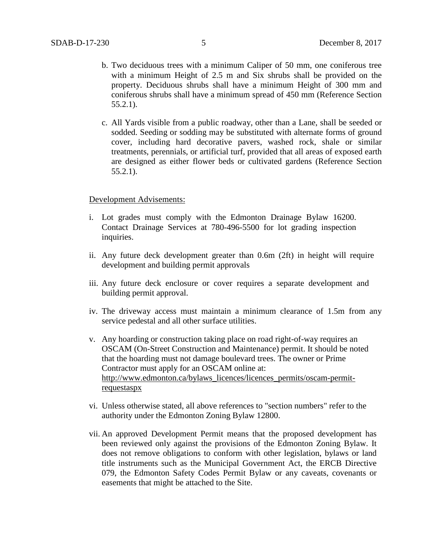- b. Two deciduous trees with a minimum Caliper of 50 mm, one coniferous tree with a minimum Height of 2.5 m and Six shrubs shall be provided on the property. Deciduous shrubs shall have a minimum Height of 300 mm and coniferous shrubs shall have a minimum spread of 450 mm (Reference Section 55.2.1).
- c. All Yards visible from a public roadway, other than a Lane, shall be seeded or sodded. Seeding or sodding may be substituted with alternate forms of ground cover, including hard decorative pavers, washed rock, shale or similar treatments, perennials, or artificial turf, provided that all areas of exposed earth are designed as either flower beds or cultivated gardens (Reference Section 55.2.1).

### Development Advisements:

- i. Lot grades must comply with the Edmonton Drainage Bylaw 16200. Contact Drainage Services at 780-496-5500 for lot grading inspection inquiries.
- ii. Any future deck development greater than 0.6m (2ft) in height will require development and building permit approvals
- iii. Any future deck enclosure or cover requires a separate development and building permit approval.
- iv. The driveway access must maintain a minimum clearance of 1.5m from any service pedestal and all other surface utilities.
- v. Any hoarding or construction taking place on road right-of-way requires an OSCAM (On-Street Construction and Maintenance) permit. It should be noted that the hoarding must not damage boulevard trees. The owner or Prime Contractor must apply for an OSCAM online at: [http://www.edmonton.ca/bylaws\\_licences/licences\\_permits/oscam-permit](http://www.edmonton.ca/bylaws_licences/licences_permits/oscam-permit-requestaspx)[requestaspx](http://www.edmonton.ca/bylaws_licences/licences_permits/oscam-permit-requestaspx)
- vi. Unless otherwise stated, all above references to "section numbers" refer to the authority under the Edmonton Zoning Bylaw 12800.
- vii. An approved Development Permit means that the proposed development has been reviewed only against the provisions of the Edmonton Zoning Bylaw. It does not remove obligations to conform with other legislation, bylaws or land title instruments such as the Municipal Government Act, the ERCB Directive 079, the Edmonton Safety Codes Permit Bylaw or any caveats, covenants or easements that might be attached to the Site.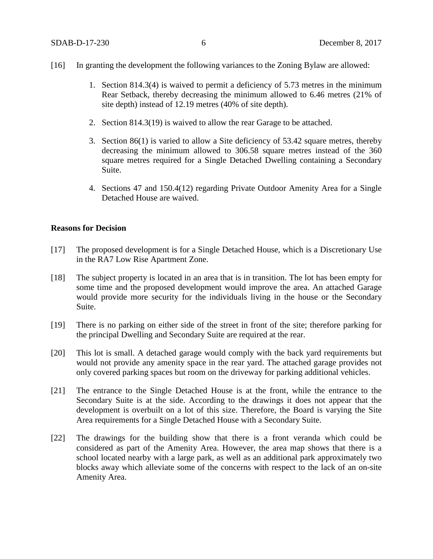### [16] In granting the development the following variances to the Zoning Bylaw are allowed:

- 1. Section 814.3(4) is waived to permit a deficiency of 5.73 metres in the minimum Rear Setback, thereby decreasing the minimum allowed to 6.46 metres (21% of site depth) instead of 12.19 metres (40% of site depth).
- 2. Section 814.3(19) is waived to allow the rear Garage to be attached.
- 3. Section 86(1) is varied to allow a Site deficiency of 53.42 square metres, thereby decreasing the minimum allowed to 306.58 square metres instead of the 360 square metres required for a Single Detached Dwelling containing a Secondary Suite.
- 4. Sections 47 and 150.4(12) regarding Private Outdoor Amenity Area for a Single Detached House are waived.

### **Reasons for Decision**

- [17] The proposed development is for a Single Detached House, which is a Discretionary Use in the RA7 Low Rise Apartment Zone.
- [18] The subject property is located in an area that is in transition. The lot has been empty for some time and the proposed development would improve the area. An attached Garage would provide more security for the individuals living in the house or the Secondary Suite.
- [19] There is no parking on either side of the street in front of the site; therefore parking for the principal Dwelling and Secondary Suite are required at the rear.
- [20] This lot is small. A detached garage would comply with the back yard requirements but would not provide any amenity space in the rear yard. The attached garage provides not only covered parking spaces but room on the driveway for parking additional vehicles.
- [21] The entrance to the Single Detached House is at the front, while the entrance to the Secondary Suite is at the side. According to the drawings it does not appear that the development is overbuilt on a lot of this size. Therefore, the Board is varying the Site Area requirements for a Single Detached House with a Secondary Suite.
- [22] The drawings for the building show that there is a front veranda which could be considered as part of the Amenity Area. However, the area map shows that there is a school located nearby with a large park, as well as an additional park approximately two blocks away which alleviate some of the concerns with respect to the lack of an on-site Amenity Area.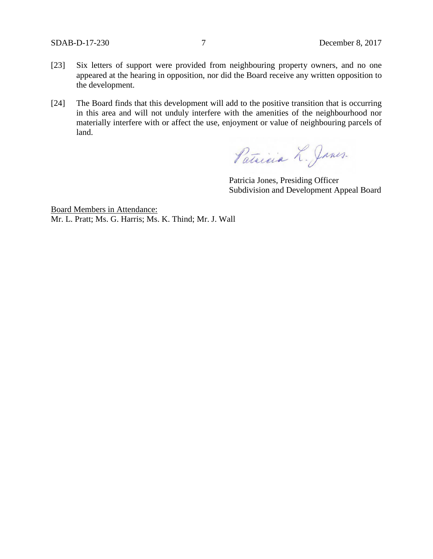- [23] Six letters of support were provided from neighbouring property owners, and no one appeared at the hearing in opposition, nor did the Board receive any written opposition to the development.
- [24] The Board finds that this development will add to the positive transition that is occurring in this area and will not unduly interfere with the amenities of the neighbourhood nor materially interfere with or affect the use, enjoyment or value of neighbouring parcels of land.

Patricia L. James.

Patricia Jones, Presiding Officer Subdivision and Development Appeal Board

Board Members in Attendance: Mr. L. Pratt; Ms. G. Harris; Ms. K. Thind; Mr. J. Wall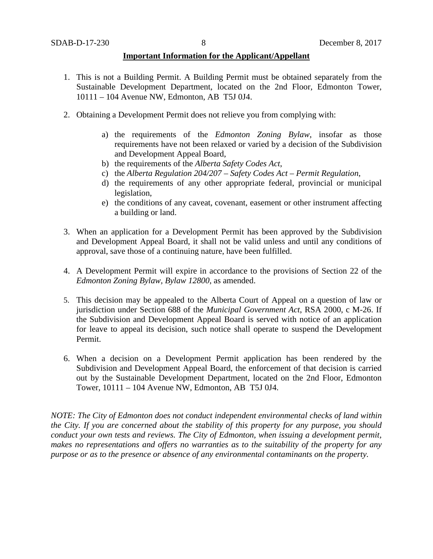## **Important Information for the Applicant/Appellant**

- 1. This is not a Building Permit. A Building Permit must be obtained separately from the Sustainable Development Department, located on the 2nd Floor, Edmonton Tower, 10111 – 104 Avenue NW, Edmonton, AB T5J 0J4.
- 2. Obtaining a Development Permit does not relieve you from complying with:
	- a) the requirements of the *Edmonton Zoning Bylaw*, insofar as those requirements have not been relaxed or varied by a decision of the Subdivision and Development Appeal Board,
	- b) the requirements of the *Alberta Safety Codes Act*,
	- c) the *Alberta Regulation 204/207 – Safety Codes Act – Permit Regulation*,
	- d) the requirements of any other appropriate federal, provincial or municipal legislation,
	- e) the conditions of any caveat, covenant, easement or other instrument affecting a building or land.
- 3. When an application for a Development Permit has been approved by the Subdivision and Development Appeal Board, it shall not be valid unless and until any conditions of approval, save those of a continuing nature, have been fulfilled.
- 4. A Development Permit will expire in accordance to the provisions of Section 22 of the *Edmonton Zoning Bylaw, Bylaw 12800*, as amended.
- 5. This decision may be appealed to the Alberta Court of Appeal on a question of law or jurisdiction under Section 688 of the *Municipal Government Act*, RSA 2000, c M-26. If the Subdivision and Development Appeal Board is served with notice of an application for leave to appeal its decision, such notice shall operate to suspend the Development Permit.
- 6. When a decision on a Development Permit application has been rendered by the Subdivision and Development Appeal Board, the enforcement of that decision is carried out by the Sustainable Development Department, located on the 2nd Floor, Edmonton Tower, 10111 – 104 Avenue NW, Edmonton, AB T5J 0J4.

*NOTE: The City of Edmonton does not conduct independent environmental checks of land within the City. If you are concerned about the stability of this property for any purpose, you should conduct your own tests and reviews. The City of Edmonton, when issuing a development permit, makes no representations and offers no warranties as to the suitability of the property for any purpose or as to the presence or absence of any environmental contaminants on the property.*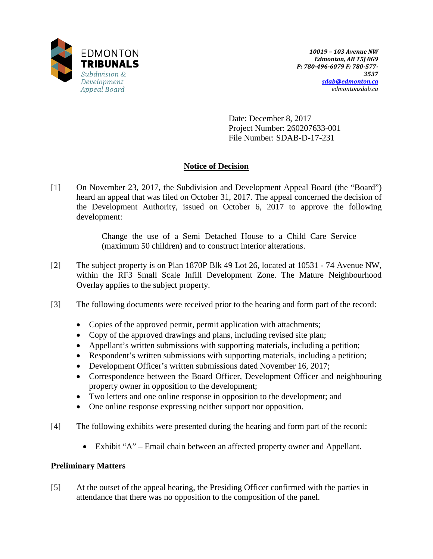

Date: December 8, 2017 Project Number: 260207633-001 File Number: SDAB-D-17-231

# **Notice of Decision**

[1] On November 23, 2017, the Subdivision and Development Appeal Board (the "Board") heard an appeal that was filed on October 31, 2017. The appeal concerned the decision of the Development Authority, issued on October 6, 2017 to approve the following development:

> Change the use of a Semi Detached House to a Child Care Service (maximum 50 children) and to construct interior alterations.

- [2] The subject property is on Plan 1870P Blk 49 Lot 26, located at 10531 74 Avenue NW, within the RF3 Small Scale Infill Development Zone. The Mature Neighbourhood Overlay applies to the subject property.
- [3] The following documents were received prior to the hearing and form part of the record:
	- Copies of the approved permit, permit application with attachments;
	- Copy of the approved drawings and plans, including revised site plan;
	- Appellant's written submissions with supporting materials, including a petition;
	- Respondent's written submissions with supporting materials, including a petition;
	- Development Officer's written submissions dated November 16, 2017;
	- Correspondence between the Board Officer, Development Officer and neighbouring property owner in opposition to the development;
	- Two letters and one online response in opposition to the development; and
	- One online response expressing neither support nor opposition.
- [4] The following exhibits were presented during the hearing and form part of the record:
	- Exhibit "A" Email chain between an affected property owner and Appellant.

# **Preliminary Matters**

[5] At the outset of the appeal hearing, the Presiding Officer confirmed with the parties in attendance that there was no opposition to the composition of the panel.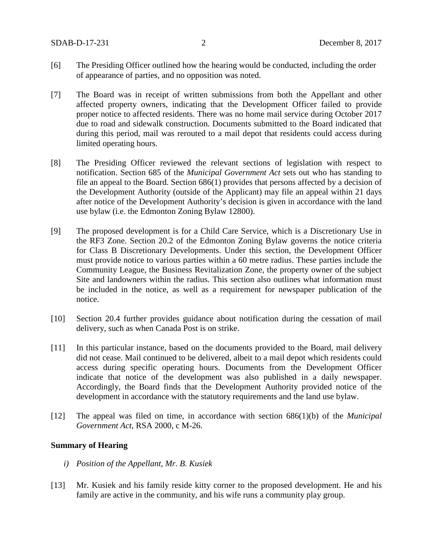- [6] The Presiding Officer outlined how the hearing would be conducted, including the order of appearance of parties, and no opposition was noted.
- [7] The Board was in receipt of written submissions from both the Appellant and other affected property owners, indicating that the Development Officer failed to provide proper notice to affected residents. There was no home mail service during October 2017 due to road and sidewalk construction. Documents submitted to the Board indicated that during this period, mail was rerouted to a mail depot that residents could access during limited operating hours.
- [8] The Presiding Officer reviewed the relevant sections of legislation with respect to notification. Section 685 of the *Municipal Government Act* sets out who has standing to file an appeal to the Board. Section 686(1) provides that persons affected by a decision of the Development Authority (outside of the Applicant) may file an appeal within 21 days after notice of the Development Authority's decision is given in accordance with the land use bylaw (i.e. the Edmonton Zoning Bylaw 12800).
- [9] The proposed development is for a Child Care Service, which is a Discretionary Use in the RF3 Zone. Section 20.2 of the Edmonton Zoning Bylaw governs the notice criteria for Class B Discretionary Developments. Under this section, the Development Officer must provide notice to various parties within a 60 metre radius. These parties include the Community League, the Business Revitalization Zone, the property owner of the subject Site and landowners within the radius. This section also outlines what information must be included in the notice, as well as a requirement for newspaper publication of the notice.
- [10] Section 20.4 further provides guidance about notification during the cessation of mail delivery, such as when Canada Post is on strike.
- [11] In this particular instance, based on the documents provided to the Board, mail delivery did not cease. Mail continued to be delivered, albeit to a mail depot which residents could access during specific operating hours. Documents from the Development Officer indicate that notice of the development was also published in a daily newspaper. Accordingly, the Board finds that the Development Authority provided notice of the development in accordance with the statutory requirements and the land use bylaw.
- [12] The appeal was filed on time, in accordance with section 686(1)(b) of the *Municipal Government Act*, RSA 2000, c M-26.

## **Summary of Hearing**

- *i) Position of the Appellant, Mr. B. Kusiek*
- [13] Mr. Kusiek and his family reside kitty corner to the proposed development. He and his family are active in the community, and his wife runs a community play group.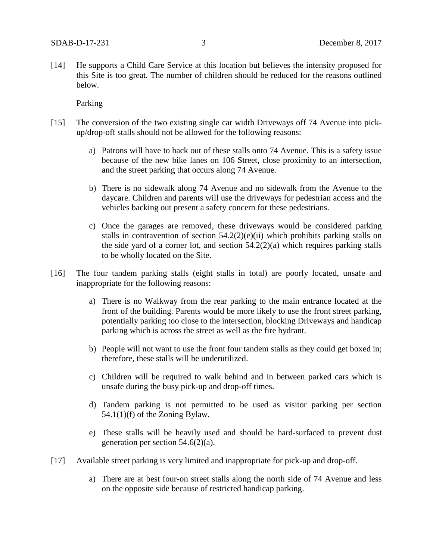[14] He supports a Child Care Service at this location but believes the intensity proposed for this Site is too great. The number of children should be reduced for the reasons outlined below.

### Parking

- [15] The conversion of the two existing single car width Driveways off 74 Avenue into pickup/drop-off stalls should not be allowed for the following reasons:
	- a) Patrons will have to back out of these stalls onto 74 Avenue. This is a safety issue because of the new bike lanes on 106 Street, close proximity to an intersection, and the street parking that occurs along 74 Avenue.
	- b) There is no sidewalk along 74 Avenue and no sidewalk from the Avenue to the daycare. Children and parents will use the driveways for pedestrian access and the vehicles backing out present a safety concern for these pedestrians.
	- c) Once the garages are removed, these driveways would be considered parking stalls in contravention of section  $54.2(2)(e)(ii)$  which prohibits parking stalls on the side yard of a corner lot, and section  $54.2(2)(a)$  which requires parking stalls to be wholly located on the Site.
- [16] The four tandem parking stalls (eight stalls in total) are poorly located, unsafe and inappropriate for the following reasons:
	- a) There is no Walkway from the rear parking to the main entrance located at the front of the building. Parents would be more likely to use the front street parking, potentially parking too close to the intersection, blocking Driveways and handicap parking which is across the street as well as the fire hydrant.
	- b) People will not want to use the front four tandem stalls as they could get boxed in; therefore, these stalls will be underutilized.
	- c) Children will be required to walk behind and in between parked cars which is unsafe during the busy pick-up and drop-off times.
	- d) Tandem parking is not permitted to be used as visitor parking per section 54.1(1)(f) of the Zoning Bylaw.
	- e) These stalls will be heavily used and should be hard-surfaced to prevent dust generation per section 54.6(2)(a).
- [17] Available street parking is very limited and inappropriate for pick-up and drop-off.
	- a) There are at best four-on street stalls along the north side of 74 Avenue and less on the opposite side because of restricted handicap parking.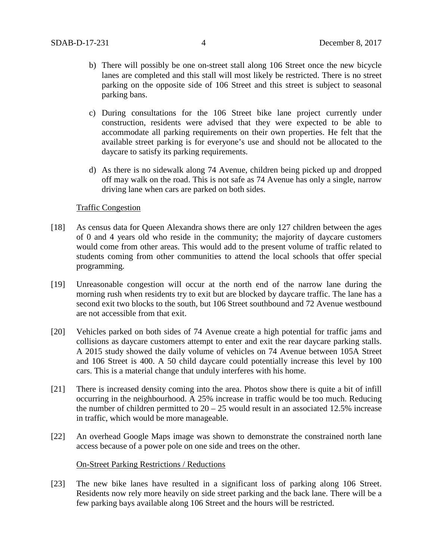- b) There will possibly be one on-street stall along 106 Street once the new bicycle lanes are completed and this stall will most likely be restricted. There is no street parking on the opposite side of 106 Street and this street is subject to seasonal parking bans.
- c) During consultations for the 106 Street bike lane project currently under construction, residents were advised that they were expected to be able to accommodate all parking requirements on their own properties. He felt that the available street parking is for everyone's use and should not be allocated to the daycare to satisfy its parking requirements.
- d) As there is no sidewalk along 74 Avenue, children being picked up and dropped off may walk on the road. This is not safe as 74 Avenue has only a single, narrow driving lane when cars are parked on both sides.

## Traffic Congestion

- [18] As census data for Queen Alexandra shows there are only 127 children between the ages of 0 and 4 years old who reside in the community; the majority of daycare customers would come from other areas. This would add to the present volume of traffic related to students coming from other communities to attend the local schools that offer special programming.
- [19] Unreasonable congestion will occur at the north end of the narrow lane during the morning rush when residents try to exit but are blocked by daycare traffic. The lane has a second exit two blocks to the south, but 106 Street southbound and 72 Avenue westbound are not accessible from that exit.
- [20] Vehicles parked on both sides of 74 Avenue create a high potential for traffic jams and collisions as daycare customers attempt to enter and exit the rear daycare parking stalls. A 2015 study showed the daily volume of vehicles on 74 Avenue between 105A Street and 106 Street is 400. A 50 child daycare could potentially increase this level by 100 cars. This is a material change that unduly interferes with his home.
- [21] There is increased density coming into the area. Photos show there is quite a bit of infill occurring in the neighbourhood. A 25% increase in traffic would be too much. Reducing the number of children permitted to  $20 - 25$  would result in an associated 12.5% increase in traffic, which would be more manageable.
- [22] An overhead Google Maps image was shown to demonstrate the constrained north lane access because of a power pole on one side and trees on the other.

### On-Street Parking Restrictions / Reductions

[23] The new bike lanes have resulted in a significant loss of parking along 106 Street. Residents now rely more heavily on side street parking and the back lane. There will be a few parking bays available along 106 Street and the hours will be restricted.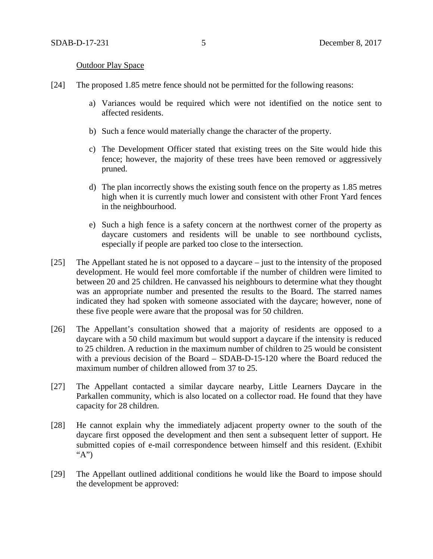#### **Outdoor Play Space**

- [24] The proposed 1.85 metre fence should not be permitted for the following reasons:
	- a) Variances would be required which were not identified on the notice sent to affected residents.
	- b) Such a fence would materially change the character of the property.
	- c) The Development Officer stated that existing trees on the Site would hide this fence; however, the majority of these trees have been removed or aggressively pruned.
	- d) The plan incorrectly shows the existing south fence on the property as 1.85 metres high when it is currently much lower and consistent with other Front Yard fences in the neighbourhood.
	- e) Such a high fence is a safety concern at the northwest corner of the property as daycare customers and residents will be unable to see northbound cyclists, especially if people are parked too close to the intersection.
- [25] The Appellant stated he is not opposed to a daycare just to the intensity of the proposed development. He would feel more comfortable if the number of children were limited to between 20 and 25 children. He canvassed his neighbours to determine what they thought was an appropriate number and presented the results to the Board. The starred names indicated they had spoken with someone associated with the daycare; however, none of these five people were aware that the proposal was for 50 children.
- [26] The Appellant's consultation showed that a majority of residents are opposed to a daycare with a 50 child maximum but would support a daycare if the intensity is reduced to 25 children. A reduction in the maximum number of children to 25 would be consistent with a previous decision of the Board – SDAB-D-15-120 where the Board reduced the maximum number of children allowed from 37 to 25.
- [27] The Appellant contacted a similar daycare nearby, Little Learners Daycare in the Parkallen community, which is also located on a collector road. He found that they have capacity for 28 children.
- [28] He cannot explain why the immediately adjacent property owner to the south of the daycare first opposed the development and then sent a subsequent letter of support. He submitted copies of e-mail correspondence between himself and this resident. (Exhibit "A")
- [29] The Appellant outlined additional conditions he would like the Board to impose should the development be approved: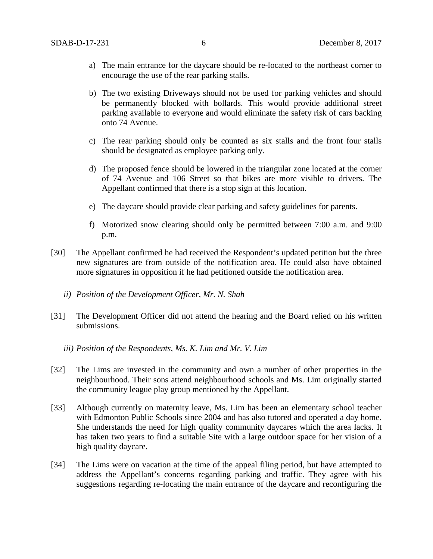- a) The main entrance for the daycare should be re-located to the northeast corner to encourage the use of the rear parking stalls.
- b) The two existing Driveways should not be used for parking vehicles and should be permanently blocked with bollards. This would provide additional street parking available to everyone and would eliminate the safety risk of cars backing onto 74 Avenue.
- c) The rear parking should only be counted as six stalls and the front four stalls should be designated as employee parking only.
- d) The proposed fence should be lowered in the triangular zone located at the corner of 74 Avenue and 106 Street so that bikes are more visible to drivers. The Appellant confirmed that there is a stop sign at this location.
- e) The daycare should provide clear parking and safety guidelines for parents.
- f) Motorized snow clearing should only be permitted between 7:00 a.m. and 9:00 p.m.
- [30] The Appellant confirmed he had received the Respondent's updated petition but the three new signatures are from outside of the notification area. He could also have obtained more signatures in opposition if he had petitioned outside the notification area.
	- *ii) Position of the Development Officer, Mr. N. Shah*
- [31] The Development Officer did not attend the hearing and the Board relied on his written submissions.
	- *iii) Position of the Respondents, Ms. K. Lim and Mr. V. Lim*
- [32] The Lims are invested in the community and own a number of other properties in the neighbourhood. Their sons attend neighbourhood schools and Ms. Lim originally started the community league play group mentioned by the Appellant.
- [33] Although currently on maternity leave, Ms. Lim has been an elementary school teacher with Edmonton Public Schools since 2004 and has also tutored and operated a day home. She understands the need for high quality community daycares which the area lacks. It has taken two years to find a suitable Site with a large outdoor space for her vision of a high quality daycare.
- [34] The Lims were on vacation at the time of the appeal filing period, but have attempted to address the Appellant's concerns regarding parking and traffic. They agree with his suggestions regarding re-locating the main entrance of the daycare and reconfiguring the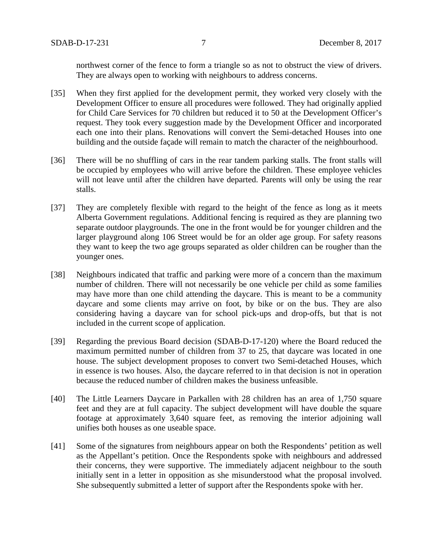northwest corner of the fence to form a triangle so as not to obstruct the view of drivers. They are always open to working with neighbours to address concerns.

- [35] When they first applied for the development permit, they worked very closely with the Development Officer to ensure all procedures were followed. They had originally applied for Child Care Services for 70 children but reduced it to 50 at the Development Officer's request. They took every suggestion made by the Development Officer and incorporated each one into their plans. Renovations will convert the Semi-detached Houses into one building and the outside façade will remain to match the character of the neighbourhood.
- [36] There will be no shuffling of cars in the rear tandem parking stalls. The front stalls will be occupied by employees who will arrive before the children. These employee vehicles will not leave until after the children have departed. Parents will only be using the rear stalls.
- [37] They are completely flexible with regard to the height of the fence as long as it meets Alberta Government regulations. Additional fencing is required as they are planning two separate outdoor playgrounds. The one in the front would be for younger children and the larger playground along 106 Street would be for an older age group. For safety reasons they want to keep the two age groups separated as older children can be rougher than the younger ones.
- [38] Neighbours indicated that traffic and parking were more of a concern than the maximum number of children. There will not necessarily be one vehicle per child as some families may have more than one child attending the daycare. This is meant to be a community daycare and some clients may arrive on foot, by bike or on the bus. They are also considering having a daycare van for school pick-ups and drop-offs, but that is not included in the current scope of application.
- [39] Regarding the previous Board decision (SDAB-D-17-120) where the Board reduced the maximum permitted number of children from 37 to 25, that daycare was located in one house. The subject development proposes to convert two Semi-detached Houses, which in essence is two houses. Also, the daycare referred to in that decision is not in operation because the reduced number of children makes the business unfeasible.
- [40] The Little Learners Daycare in Parkallen with 28 children has an area of 1,750 square feet and they are at full capacity. The subject development will have double the square footage at approximately 3,640 square feet, as removing the interior adjoining wall unifies both houses as one useable space.
- [41] Some of the signatures from neighbours appear on both the Respondents' petition as well as the Appellant's petition. Once the Respondents spoke with neighbours and addressed their concerns, they were supportive. The immediately adjacent neighbour to the south initially sent in a letter in opposition as she misunderstood what the proposal involved. She subsequently submitted a letter of support after the Respondents spoke with her.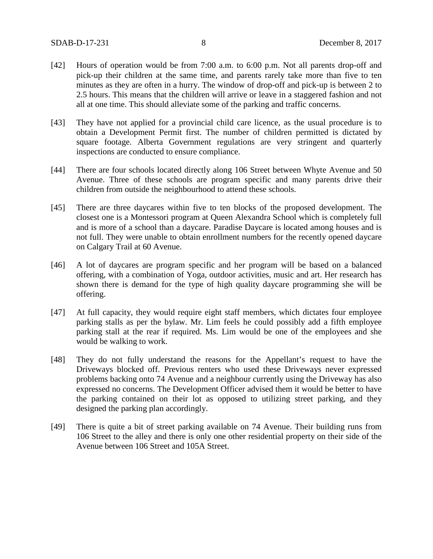- [42] Hours of operation would be from 7:00 a.m. to 6:00 p.m. Not all parents drop-off and pick-up their children at the same time, and parents rarely take more than five to ten minutes as they are often in a hurry. The window of drop-off and pick-up is between 2 to 2.5 hours. This means that the children will arrive or leave in a staggered fashion and not all at one time. This should alleviate some of the parking and traffic concerns.
- [43] They have not applied for a provincial child care licence, as the usual procedure is to obtain a Development Permit first. The number of children permitted is dictated by square footage. Alberta Government regulations are very stringent and quarterly inspections are conducted to ensure compliance.
- [44] There are four schools located directly along 106 Street between Whyte Avenue and 50 Avenue. Three of these schools are program specific and many parents drive their children from outside the neighbourhood to attend these schools.
- [45] There are three daycares within five to ten blocks of the proposed development. The closest one is a Montessori program at Queen Alexandra School which is completely full and is more of a school than a daycare. Paradise Daycare is located among houses and is not full. They were unable to obtain enrollment numbers for the recently opened daycare on Calgary Trail at 60 Avenue.
- [46] A lot of daycares are program specific and her program will be based on a balanced offering, with a combination of Yoga, outdoor activities, music and art. Her research has shown there is demand for the type of high quality daycare programming she will be offering.
- [47] At full capacity, they would require eight staff members, which dictates four employee parking stalls as per the bylaw. Mr. Lim feels he could possibly add a fifth employee parking stall at the rear if required. Ms. Lim would be one of the employees and she would be walking to work.
- [48] They do not fully understand the reasons for the Appellant's request to have the Driveways blocked off. Previous renters who used these Driveways never expressed problems backing onto 74 Avenue and a neighbour currently using the Driveway has also expressed no concerns. The Development Officer advised them it would be better to have the parking contained on their lot as opposed to utilizing street parking, and they designed the parking plan accordingly.
- [49] There is quite a bit of street parking available on 74 Avenue. Their building runs from 106 Street to the alley and there is only one other residential property on their side of the Avenue between 106 Street and 105A Street.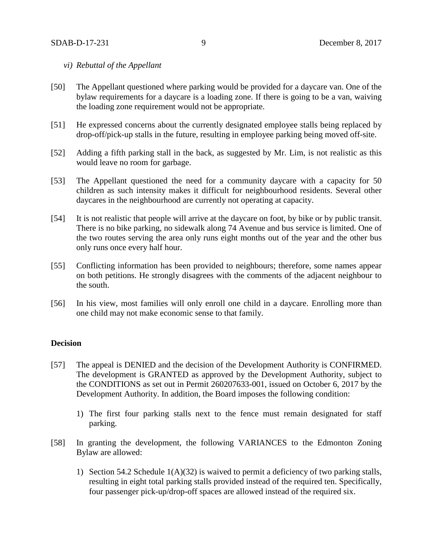### *vi) Rebuttal of the Appellant*

- [50] The Appellant questioned where parking would be provided for a daycare van. One of the bylaw requirements for a daycare is a loading zone. If there is going to be a van, waiving the loading zone requirement would not be appropriate.
- [51] He expressed concerns about the currently designated employee stalls being replaced by drop-off/pick-up stalls in the future, resulting in employee parking being moved off-site.
- [52] Adding a fifth parking stall in the back, as suggested by Mr. Lim, is not realistic as this would leave no room for garbage.
- [53] The Appellant questioned the need for a community daycare with a capacity for 50 children as such intensity makes it difficult for neighbourhood residents. Several other daycares in the neighbourhood are currently not operating at capacity.
- [54] It is not realistic that people will arrive at the daycare on foot, by bike or by public transit. There is no bike parking, no sidewalk along 74 Avenue and bus service is limited. One of the two routes serving the area only runs eight months out of the year and the other bus only runs once every half hour.
- [55] Conflicting information has been provided to neighbours; therefore, some names appear on both petitions. He strongly disagrees with the comments of the adjacent neighbour to the south.
- [56] In his view, most families will only enroll one child in a daycare. Enrolling more than one child may not make economic sense to that family.

# **Decision**

- [57] The appeal is DENIED and the decision of the Development Authority is CONFIRMED. The development is GRANTED as approved by the Development Authority, subject to the CONDITIONS as set out in Permit 260207633-001, issued on October 6, 2017 by the Development Authority. In addition, the Board imposes the following condition:
	- 1) The first four parking stalls next to the fence must remain designated for staff parking.
- [58] In granting the development, the following VARIANCES to the Edmonton Zoning Bylaw are allowed:
	- 1) Section 54.2 Schedule  $1(A)(32)$  is waived to permit a deficiency of two parking stalls, resulting in eight total parking stalls provided instead of the required ten. Specifically, four passenger pick-up/drop-off spaces are allowed instead of the required six.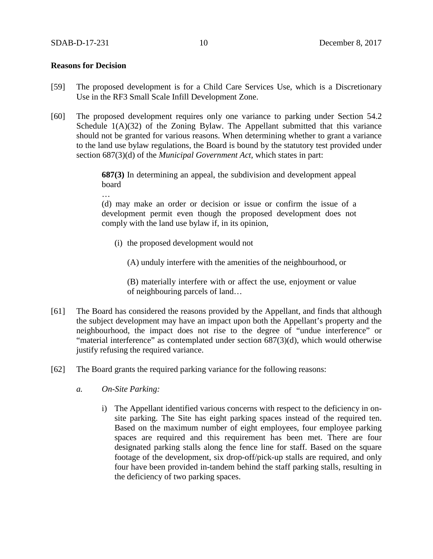# **Reasons for Decision**

…

- [59] The proposed development is for a Child Care Services Use, which is a Discretionary Use in the RF3 Small Scale Infill Development Zone.
- [60] The proposed development requires only one variance to parking under Section 54.2 Schedule  $1(A)(32)$  of the Zoning Bylaw. The Appellant submitted that this variance should not be granted for various reasons. When determining whether to grant a variance to the land use bylaw regulations, the Board is bound by the statutory test provided under section 687(3)(d) of the *Municipal Government Act,* which states in part:

**687(3)** In determining an appeal, the subdivision and development appeal board

(d) may make an order or decision or issue or confirm the issue of a development permit even though the proposed development does not comply with the land use bylaw if, in its opinion,

(i) the proposed development would not

(A) unduly interfere with the amenities of the neighbourhood, or

(B) materially interfere with or affect the use, enjoyment or value of neighbouring parcels of land…

- [61] The Board has considered the reasons provided by the Appellant, and finds that although the subject development may have an impact upon both the Appellant's property and the neighbourhood, the impact does not rise to the degree of "undue interference" or "material interference" as contemplated under section 687(3)(d), which would otherwise justify refusing the required variance.
- [62] The Board grants the required parking variance for the following reasons:
	- *a. On-Site Parking:* 
		- i) The Appellant identified various concerns with respect to the deficiency in onsite parking. The Site has eight parking spaces instead of the required ten. Based on the maximum number of eight employees, four employee parking spaces are required and this requirement has been met. There are four designated parking stalls along the fence line for staff. Based on the square footage of the development, six drop-off/pick-up stalls are required, and only four have been provided in-tandem behind the staff parking stalls, resulting in the deficiency of two parking spaces.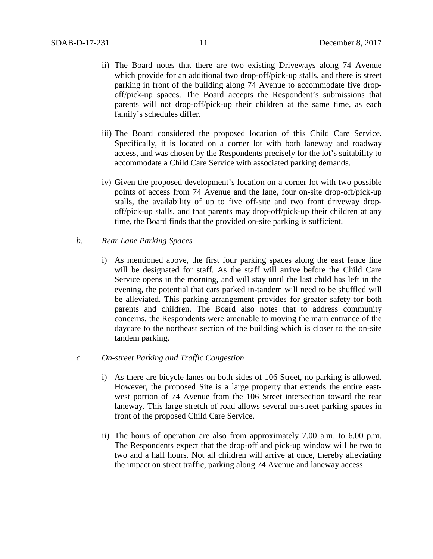- ii) The Board notes that there are two existing Driveways along 74 Avenue which provide for an additional two drop-off/pick-up stalls, and there is street parking in front of the building along 74 Avenue to accommodate five dropoff/pick-up spaces. The Board accepts the Respondent's submissions that parents will not drop-off/pick-up their children at the same time, as each family's schedules differ.
- iii) The Board considered the proposed location of this Child Care Service. Specifically, it is located on a corner lot with both laneway and roadway access, and was chosen by the Respondents precisely for the lot's suitability to accommodate a Child Care Service with associated parking demands.
- iv) Given the proposed development's location on a corner lot with two possible points of access from 74 Avenue and the lane, four on-site drop-off/pick-up stalls, the availability of up to five off-site and two front driveway dropoff/pick-up stalls, and that parents may drop-off/pick-up their children at any time, the Board finds that the provided on-site parking is sufficient.
- *b. Rear Lane Parking Spaces*
	- i) As mentioned above, the first four parking spaces along the east fence line will be designated for staff. As the staff will arrive before the Child Care Service opens in the morning, and will stay until the last child has left in the evening, the potential that cars parked in-tandem will need to be shuffled will be alleviated. This parking arrangement provides for greater safety for both parents and children. The Board also notes that to address community concerns, the Respondents were amenable to moving the main entrance of the daycare to the northeast section of the building which is closer to the on-site tandem parking.
- *c. On-street Parking and Traffic Congestion*
	- i) As there are bicycle lanes on both sides of 106 Street, no parking is allowed. However, the proposed Site is a large property that extends the entire eastwest portion of 74 Avenue from the 106 Street intersection toward the rear laneway. This large stretch of road allows several on-street parking spaces in front of the proposed Child Care Service.
	- ii) The hours of operation are also from approximately 7.00 a.m. to 6.00 p.m. The Respondents expect that the drop-off and pick-up window will be two to two and a half hours. Not all children will arrive at once, thereby alleviating the impact on street traffic, parking along 74 Avenue and laneway access.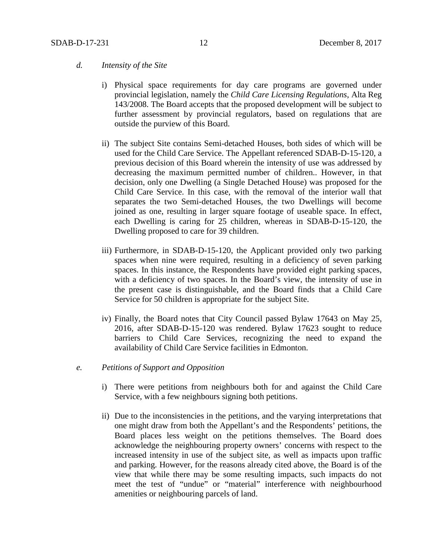## *d. Intensity of the Site*

- i) Physical space requirements for day care programs are governed under provincial legislation, namely the *Child Care Licensing Regulations*, Alta Reg 143/2008. The Board accepts that the proposed development will be subject to further assessment by provincial regulators, based on regulations that are outside the purview of this Board.
- ii) The subject Site contains Semi-detached Houses, both sides of which will be used for the Child Care Service. The Appellant referenced SDAB-D-15-120, a previous decision of this Board wherein the intensity of use was addressed by decreasing the maximum permitted number of children.. However, in that decision, only one Dwelling (a Single Detached House) was proposed for the Child Care Service. In this case, with the removal of the interior wall that separates the two Semi-detached Houses, the two Dwellings will become joined as one, resulting in larger square footage of useable space. In effect, each Dwelling is caring for 25 children, whereas in SDAB-D-15-120, the Dwelling proposed to care for 39 children.
- iii) Furthermore, in SDAB-D-15-120, the Applicant provided only two parking spaces when nine were required, resulting in a deficiency of seven parking spaces. In this instance, the Respondents have provided eight parking spaces, with a deficiency of two spaces. In the Board's view, the intensity of use in the present case is distinguishable, and the Board finds that a Child Care Service for 50 children is appropriate for the subject Site.
- iv) Finally, the Board notes that City Council passed Bylaw 17643 on May 25, 2016, after SDAB-D-15-120 was rendered. Bylaw 17623 sought to reduce barriers to Child Care Services, recognizing the need to expand the availability of Child Care Service facilities in Edmonton.

## *e. Petitions of Support and Opposition*

- i) There were petitions from neighbours both for and against the Child Care Service, with a few neighbours signing both petitions.
- ii) Due to the inconsistencies in the petitions, and the varying interpretations that one might draw from both the Appellant's and the Respondents' petitions, the Board places less weight on the petitions themselves. The Board does acknowledge the neighbouring property owners' concerns with respect to the increased intensity in use of the subject site, as well as impacts upon traffic and parking. However, for the reasons already cited above, the Board is of the view that while there may be some resulting impacts, such impacts do not meet the test of "undue" or "material" interference with neighbourhood amenities or neighbouring parcels of land.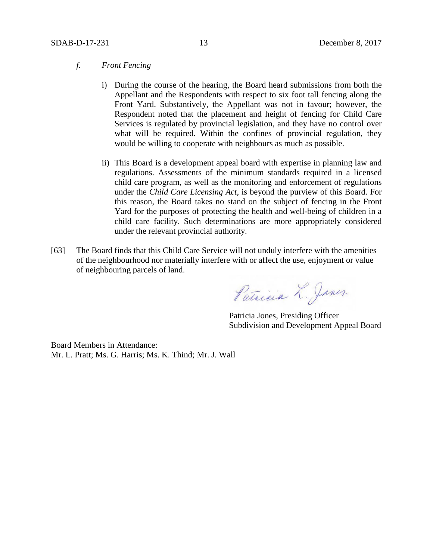## *f. Front Fencing*

- i) During the course of the hearing, the Board heard submissions from both the Appellant and the Respondents with respect to six foot tall fencing along the Front Yard. Substantively, the Appellant was not in favour; however, the Respondent noted that the placement and height of fencing for Child Care Services is regulated by provincial legislation, and they have no control over what will be required. Within the confines of provincial regulation, they would be willing to cooperate with neighbours as much as possible.
- ii) This Board is a development appeal board with expertise in planning law and regulations. Assessments of the minimum standards required in a licensed child care program, as well as the monitoring and enforcement of regulations under the *Child Care Licensing Act*, is beyond the purview of this Board. For this reason, the Board takes no stand on the subject of fencing in the Front Yard for the purposes of protecting the health and well-being of children in a child care facility. Such determinations are more appropriately considered under the relevant provincial authority.
- [63] The Board finds that this Child Care Service will not unduly interfere with the amenities of the neighbourhood nor materially interfere with or affect the use, enjoyment or value of neighbouring parcels of land.

Patricia L. Janes.

Patricia Jones, Presiding Officer Subdivision and Development Appeal Board

Board Members in Attendance: Mr. L. Pratt; Ms. G. Harris; Ms. K. Thind; Mr. J. Wall